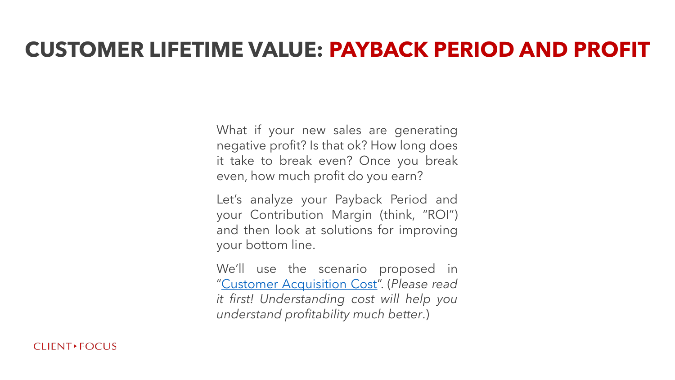What if your new sales are generating negative profit? Is that ok? How long does it take to break even? Once you break even, how much profit do you earn?

Let's analyze your Payback Period and your Contribution Margin (think, "ROI") and then look at solutions for improving your bottom line.

We'll use the scenario proposed in "Customer [Acquisition](https://clientfocuscorp.com/resources) Cost". (*Please read it first! Understanding cost will help you understand profitability much better*.)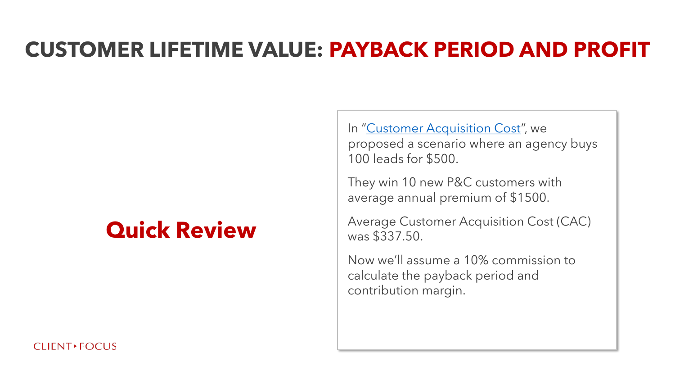### **Quick Review**

In "[Customer Acquisition Cost](https://clientfocuscorp.com/resources)", we proposed a scenario where an agency buys 100 leads for \$500.

They win 10 new P&C customers with average annual premium of \$1500.

Average Customer Acquisition Cost (CAC) was \$337.50.

Now we'll assume a 10% commission to calculate the payback period and contribution margin.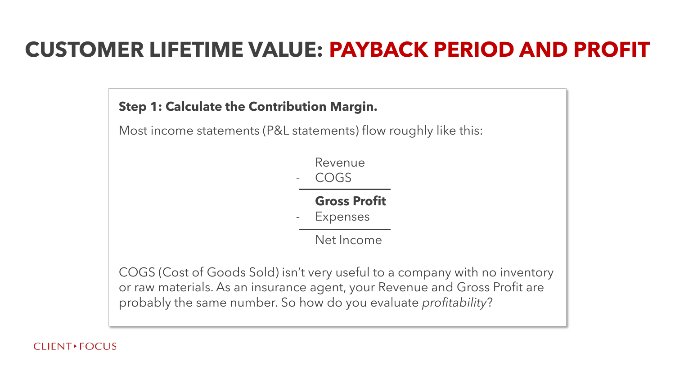#### **Step 1: Calculate the Contribution Margin.**

Most income statements (P&L statements) flow roughly like this:

Revenue

- COGS

**Gross Profit**

**Expenses** 

Net Income

COGS (Cost of Goods Sold) isn't very useful to a company with no inventory or raw materials. As an insurance agent, your Revenue and Gross Profit are probably the same number. So how do you evaluate *profitability*?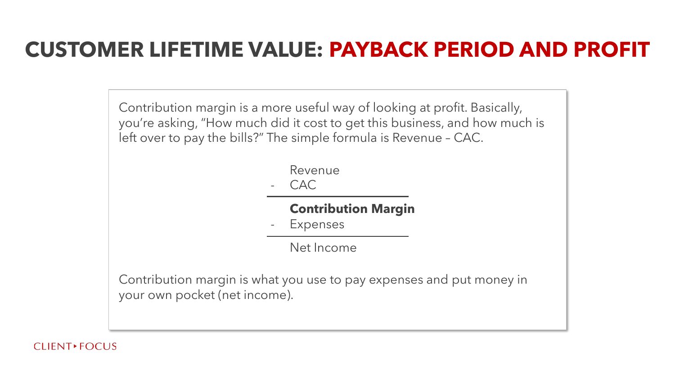Contribution margin is a more useful way of looking at profit. Basically, you're asking, "How much did it cost to get this business, and how much is left over to pay the bills?" The simple formula is Revenue – CAC.

Revenue

- CAC

#### **Contribution Margin**

**Expenses** 

Net Income

Contribution margin is what you use to pay expenses and put money in your own pocket (net income).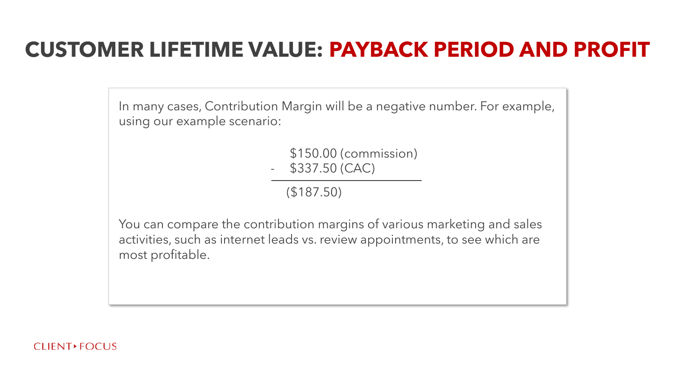In many cases, Contribution Margin will be a negative number. For example, using our example scenario:

> \$150.00 (commission) - \$337.50 (CAC)

(\$187.50)

You can compare the contribution margins of various marketing and sales activities, such as internet leads vs. review appointments, to see which are most profitable.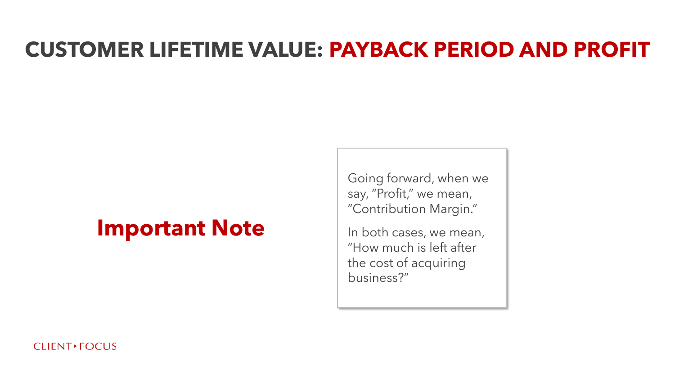#### **Important Note**

Going forward, when we say, "Profit," we mean, "Contribution Margin."

In both cases, we mean, "How much is left after the cost of acquiring business?"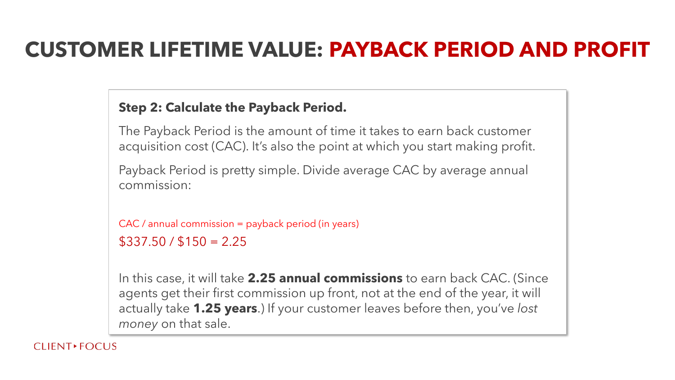#### **Step 2: Calculate the Payback Period.**

The Payback Period is the amount of time it takes to earn back customer acquisition cost (CAC). It's also the point at which you start making profit.

Payback Period is pretty simple. Divide average CAC by average annual commission:

```
CAC / annual commission = payback period (in years) 
$337.50 / $150 = 2.25
```
In this case, it will take **2.25 annual commissions** to earn back CAC. (Since agents get their first commission up front, not at the end of the year, it will actually take **1.25 years**.) If your customer leaves before then, you've *lost money* on that sale.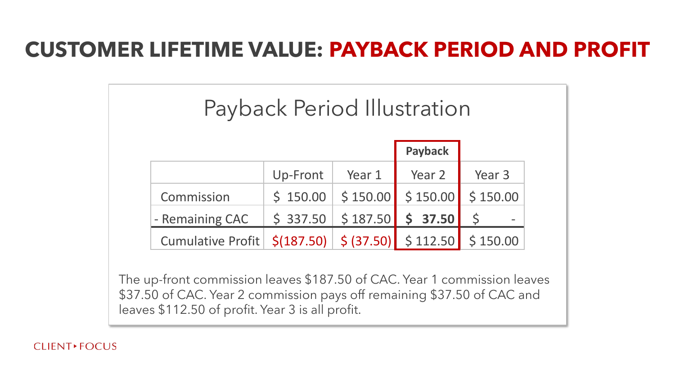## Payback Period Illustration

|                                                                                                                  |          |        | <b>Payback</b>                                                    |        |
|------------------------------------------------------------------------------------------------------------------|----------|--------|-------------------------------------------------------------------|--------|
|                                                                                                                  | Up-Front | Year 1 | Year 2                                                            | Year 3 |
| Commission                                                                                                       | \$150.00 |        | $$150.00$ $$150.00$ $$150.00$                                     |        |
| - Remaining CAC                                                                                                  |          |        | $\frac{1}{2}$ 337.50 $\frac{1}{2}$ 5 187.50 $\frac{1}{2}$ 5 37.50 |        |
| Cumulative Profit   $\frac{1}{5}$ (187.50)   $\frac{1}{5}$ (37.50)   $\frac{1}{5}$ 112.50   $\frac{1}{5}$ 150.00 |          |        |                                                                   |        |

The up-front commission leaves \$187.50 of CAC. Year 1 commission leaves \$37.50 of CAC. Year 2 commission pays off remaining \$37.50 of CAC and leaves \$112.50 of profit. Year 3 is all profit.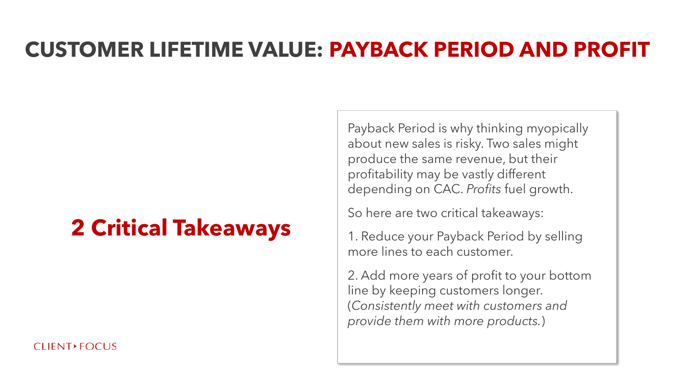# **2 Critical Takeaways**

#### **CLIENTFOCUS**

Payback Period is why thinking myopically about new sales is risky. Two sales might produce the same revenue, but their profitability may be vastly different depending on CAC. *Profits* fuel growth.

So here are two critical takeaways:

1. Reduce your Payback Period by selling more lines to each customer.

2. Add more years of profit to your bottom line by keeping customers longer. (*Consistently meet with customers and provide them with more products.*)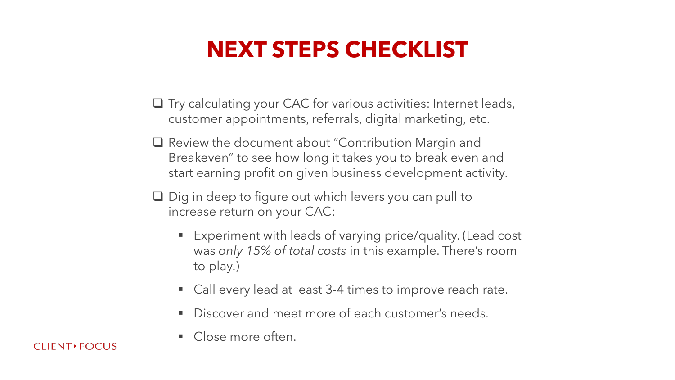## **NEXT STEPS CHECKLIST**

- ❑ Try calculating your CAC for various activities: Internet leads, customer appointments, referrals, digital marketing, etc.
- ❑ Review the document about "Contribution Margin and Breakeven" to see how long it takes you to break even and start earning profit on given business development activity.
- ❑ Dig in deep to figure out which levers you can pull to increase return on your CAC:
	- Experiment with leads of varying price/quality. (Lead cost was *only 15% of total costs* in this example. There's room to play.)
	- Call every lead at least 3-4 times to improve reach rate.
	- Discover and meet more of each customer's needs.
	- Close more often.